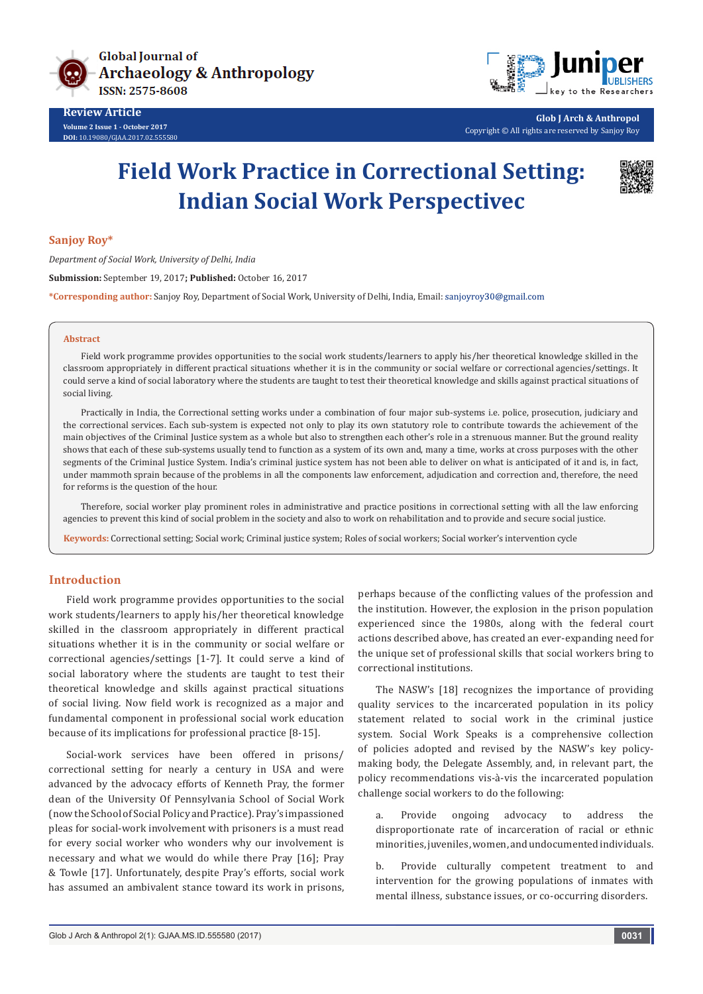



**Glob J Arch & Anthropol** Copyright © All rights are reserved by Sanjoy Roy

# **Field Work Practice in Correctional Setting: Indian Social Work Perspectivec**



### **Sanjoy Roy\***

*Department of Social Work, University of Delhi, India* **Submission:** September 19, 2017**; Published:** October 16, 2017 **\*Corresponding author:** Sanjoy Roy, Department of Social Work, University of Delhi, India, Email:

#### **Abstract**

Field work programme provides opportunities to the social work students/learners to apply his/her theoretical knowledge skilled in the classroom appropriately in different practical situations whether it is in the community or social welfare or correctional agencies/settings. It could serve a kind of social laboratory where the students are taught to test their theoretical knowledge and skills against practical situations of social living.

Practically in India, the Correctional setting works under a combination of four major sub-systems i.e. police, prosecution, judiciary and the correctional services. Each sub-system is expected not only to play its own statutory role to contribute towards the achievement of the main objectives of the Criminal Justice system as a whole but also to strengthen each other's role in a strenuous manner. But the ground reality shows that each of these sub-systems usually tend to function as a system of its own and, many a time, works at cross purposes with the other segments of the Criminal Justice System. India's criminal justice system has not been able to deliver on what is anticipated of it and is, in fact, under mammoth sprain because of the problems in all the components law enforcement, adjudication and correction and, therefore, the need for reforms is the question of the hour.

Therefore, social worker play prominent roles in administrative and practice positions in correctional setting with all the law enforcing agencies to prevent this kind of social problem in the society and also to work on rehabilitation and to provide and secure social justice.

**Keywords:** Correctional setting; Social work; Criminal justice system; Roles of social workers; Social worker's intervention cycle

## **Introduction**

Field work programme provides opportunities to the social work students/learners to apply his/her theoretical knowledge skilled in the classroom appropriately in different practical situations whether it is in the community or social welfare or correctional agencies/settings [1-7]. It could serve a kind of social laboratory where the students are taught to test their theoretical knowledge and skills against practical situations of social living. Now field work is recognized as a major and fundamental component in professional social work education because of its implications for professional practice [8-15].

Social-work services have been offered in prisons/ correctional setting for nearly a century in USA and were advanced by the advocacy efforts of Kenneth Pray, the former dean of the University Of Pennsylvania School of Social Work (now the School of Social Policy and Practice). Pray's impassioned pleas for social-work involvement with prisoners is a must read for every social worker who wonders why our involvement is necessary and what we would do while there Pray [16]; Pray & Towle [17]. Unfortunately, despite Pray's efforts, social work has assumed an ambivalent stance toward its work in prisons,

perhaps because of the conflicting values of the profession and the institution. However, the explosion in the prison population experienced since the 1980s, along with the federal court actions described above, has created an ever-expanding need for the unique set of professional skills that social workers bring to correctional institutions.

The NASW's [18] recognizes the importance of providing quality services to the incarcerated population in its policy statement related to social work in the criminal justice system. Social Work Speaks is a comprehensive collection of policies adopted and revised by the NASW's key policymaking body, the Delegate Assembly, and, in relevant part, the policy recommendations vis-à-vis the incarcerated population challenge social workers to do the following:

a. Provide ongoing advocacy to address the disproportionate rate of incarceration of racial or ethnic minorities, juveniles, women, and undocumented individuals.

b. Provide culturally competent treatment to and intervention for the growing populations of inmates with mental illness, substance issues, or co-occurring disorders.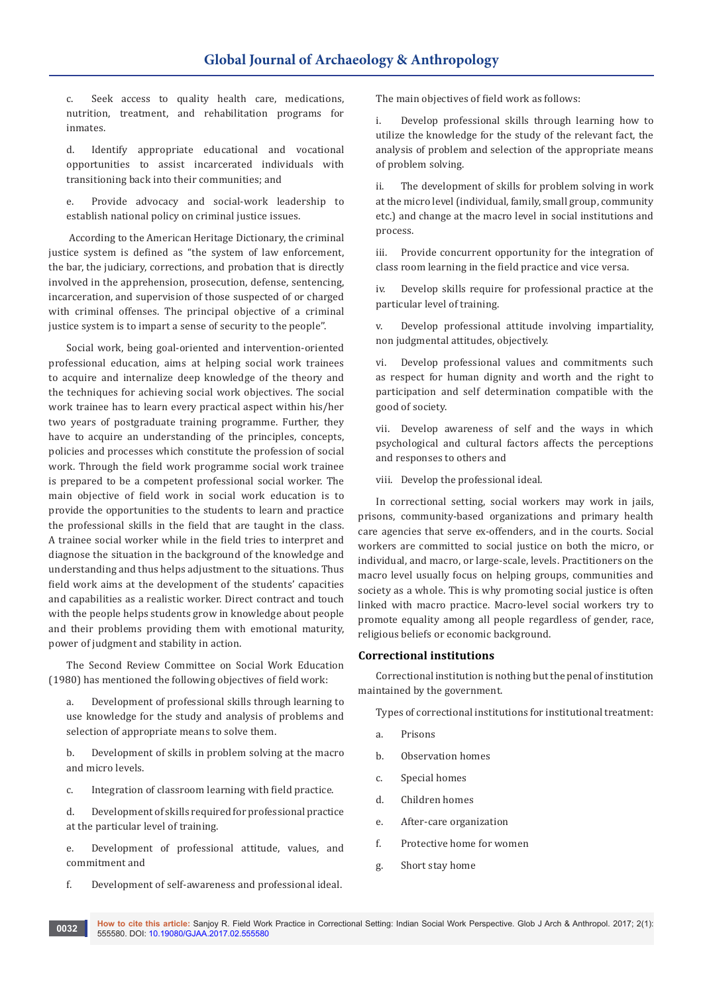c. Seek access to quality health care, medications, nutrition, treatment, and rehabilitation programs for inmates.

d. Identify appropriate educational and vocational opportunities to assist incarcerated individuals with transitioning back into their communities; and

e. Provide advocacy and social-work leadership to establish national policy on criminal justice issues.

 According to the American Heritage Dictionary, the criminal justice system is defined as "the system of law enforcement, the bar, the judiciary, corrections, and probation that is directly involved in the apprehension, prosecution, defense, sentencing, incarceration, and supervision of those suspected of or charged with criminal offenses. The principal objective of a criminal justice system is to impart a sense of security to the people''.

Social work, being goal-oriented and intervention-oriented professional education, aims at helping social work trainees to acquire and internalize deep knowledge of the theory and the techniques for achieving social work objectives. The social work trainee has to learn every practical aspect within his/her two years of postgraduate training programme. Further, they have to acquire an understanding of the principles, concepts, policies and processes which constitute the profession of social work. Through the field work programme social work trainee is prepared to be a competent professional social worker. The main objective of field work in social work education is to provide the opportunities to the students to learn and practice the professional skills in the field that are taught in the class. A trainee social worker while in the field tries to interpret and diagnose the situation in the background of the knowledge and understanding and thus helps adjustment to the situations. Thus field work aims at the development of the students' capacities and capabilities as a realistic worker. Direct contract and touch with the people helps students grow in knowledge about people and their problems providing them with emotional maturity, power of judgment and stability in action.

The Second Review Committee on Social Work Education (1980) has mentioned the following objectives of field work:

a. Development of professional skills through learning to use knowledge for the study and analysis of problems and selection of appropriate means to solve them.

b. Development of skills in problem solving at the macro and micro levels.

c. Integration of classroom learning with field practice.

d. Development of skills required for professional practice at the particular level of training.

e. Development of professional attitude, values, and commitment and

f. Development of self-awareness and professional ideal.

The main objectives of field work as follows:

i. Develop professional skills through learning how to utilize the knowledge for the study of the relevant fact, the analysis of problem and selection of the appropriate means of problem solving.

ii. The development of skills for problem solving in work at the micro level (individual, family, small group, community etc.) and change at the macro level in social institutions and process.

iii. Provide concurrent opportunity for the integration of class room learning in the field practice and vice versa.

iv. Develop skills require for professional practice at the particular level of training.

v. Develop professional attitude involving impartiality, non judgmental attitudes, objectively.

vi. Develop professional values and commitments such as respect for human dignity and worth and the right to participation and self determination compatible with the good of society.

vii. Develop awareness of self and the ways in which psychological and cultural factors affects the perceptions and responses to others and

viii. Develop the professional ideal.

In correctional setting, social workers may work in jails, prisons, community-based organizations and primary health care agencies that serve ex-offenders, and in the courts. Social workers are committed to social justice on both the micro, or individual, and macro, or large-scale, levels. Practitioners on the macro level usually focus on helping groups, communities and society as a whole. This is why promoting social justice is often linked with macro practice. Macro-level social workers try to promote equality among all people regardless of gender, race, religious beliefs or economic background.

#### **Correctional institutions**

Correctional institution is nothing but the penal of institution maintained by the government.

Types of correctional institutions for institutional treatment:

- a. Prisons
- b. Observation homes
- c. Special homes
- d. Children homes
- e. After-care organization
- f. Protective home for women
- g. Short stay home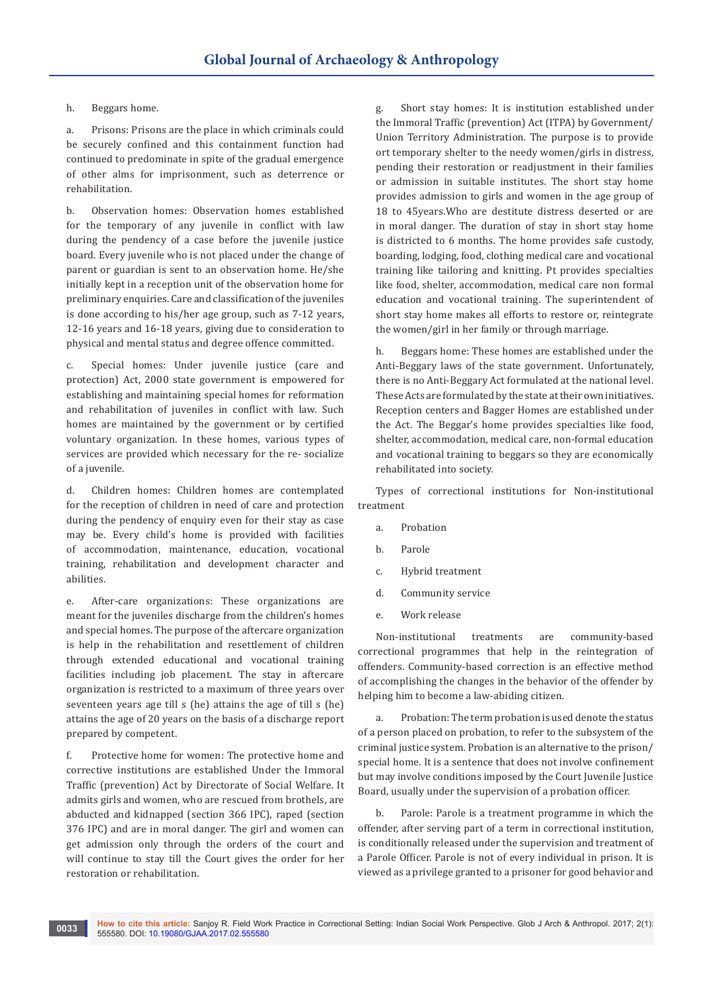h. Beggars home.

a. Prisons: Prisons are the place in which criminals could be securely confined and this containment function had continued to predominate in spite of the gradual emergence of other alms for imprisonment, such as deterrence or rehabilitation.

b. Observation homes: Observation homes established for the temporary of any juvenile in conflict with law during the pendency of a case before the juvenile justice board. Every juvenile who is not placed under the change of parent or guardian is sent to an observation home. He/she initially kept in a reception unit of the observation home for preliminary enquiries. Care and classification of the juveniles is done according to his/her age group, such as 7-12 years, 12-16 years and 16-18 years, giving due to consideration to physical and mental status and degree offence committed.

c. Special homes: Under juvenile justice (care and protection) Act, 2000 state government is empowered for establishing and maintaining special homes for reformation and rehabilitation of juveniles in conflict with law. Such homes are maintained by the government or by certified voluntary organization. In these homes, various types of services are provided which necessary for the re- socialize of a juvenile.

d. Children homes: Children homes are contemplated for the reception of children in need of care and protection during the pendency of enquiry even for their stay as case may be. Every child's home is provided with facilities of accommodation, maintenance, education, vocational training, rehabilitation and development character and abilities.

e. After-care organizations: These organizations are meant for the juveniles discharge from the children's homes and special homes. The purpose of the aftercare organization is help in the rehabilitation and resettlement of children through extended educational and vocational training facilities including job placement. The stay in aftercare organization is restricted to a maximum of three years over seventeen years age till s (he) attains the age of till s (he) attains the age of 20 years on the basis of a discharge report prepared by competent.

f. Protective home for women: The protective home and corrective institutions are established Under the Immoral Traffic (prevention) Act by Directorate of Social Welfare. It admits girls and women, who are rescued from brothels, are abducted and kidnapped (section 366 IPC), raped (section 376 IPC) and are in moral danger. The girl and women can get admission only through the orders of the court and will continue to stay till the Court gives the order for her restoration or rehabilitation.

g. Short stay homes: It is institution established under the Immoral Traffic (prevention) Act (ITPA) by Government/ Union Territory Administration. The purpose is to provide ort temporary shelter to the needy women/girls in distress, pending their restoration or readjustment in their families or admission in suitable institutes. The short stay home provides admission to girls and women in the age group of 18 to 45years.Who are destitute distress deserted or are in moral danger. The duration of stay in short stay home is districted to 6 months. The home provides safe custody, boarding, lodging, food, clothing medical care and vocational training like tailoring and knitting. Pt provides specialties like food, shelter, accommodation, medical care non formal education and vocational training. The superintendent of short stay home makes all efforts to restore or, reintegrate the women/girl in her family or through marriage.

h. Beggars home: These homes are established under the Anti-Beggary laws of the state government. Unfortunately, there is no Anti-Beggary Act formulated at the national level. These Acts are formulated by the state at their own initiatives. Reception centers and Bagger Homes are established under the Act. The Beggar's home provides specialties like food, shelter, accommodation, medical care, non-formal education and vocational training to beggars so they are economically rehabilitated into society.

Types of correctional institutions for Non-institutional treatment

- a. Probation
- b. Parole
- c. Hybrid treatment
- d. Community service
- e. Work release

Non-institutional treatments are community-based correctional programmes that help in the reintegration of offenders. Community-based correction is an effective method of accomplishing the changes in the behavior of the offender by helping him to become a law-abiding citizen.

a. Probation: The term probation is used denote the status of a person placed on probation, to refer to the subsystem of the criminal justice system. Probation is an alternative to the prison/ special home. It is a sentence that does not involve confinement but may involve conditions imposed by the Court Juvenile Justice Board, usually under the supervision of a probation officer.

b. Parole: Parole is a treatment programme in which the offender, after serving part of a term in correctional institution, is conditionally released under the supervision and treatment of a Parole Officer. Parole is not of every individual in prison. It is viewed as a privilege granted to a prisoner for good behavior and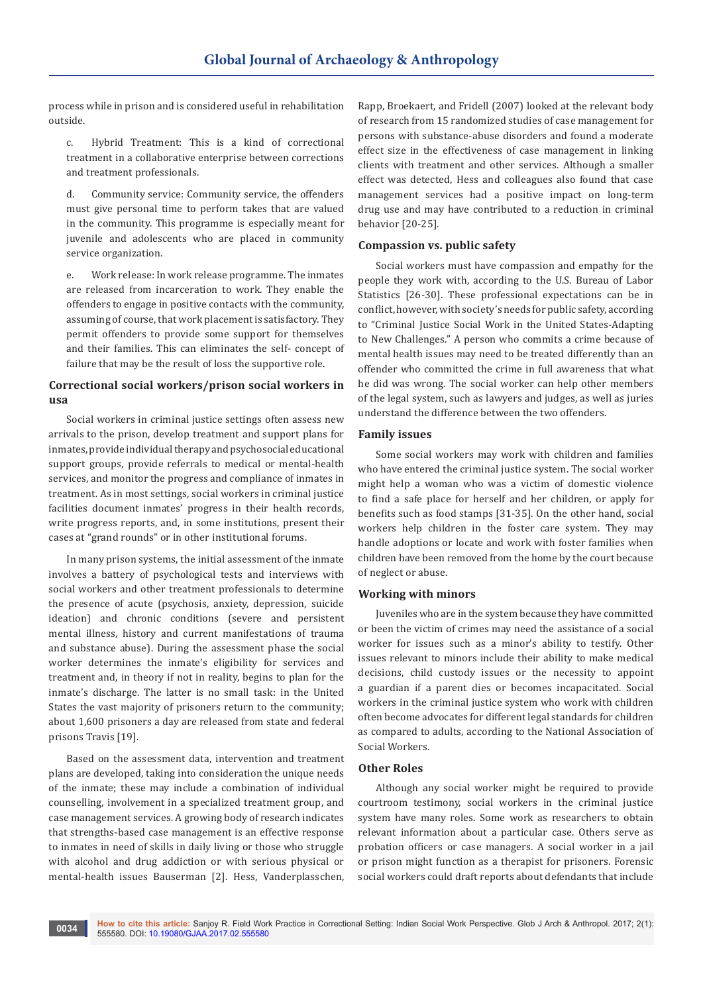process while in prison and is considered useful in rehabilitation outside.

c. Hybrid Treatment: This is a kind of correctional treatment in a collaborative enterprise between corrections and treatment professionals.

d. Community service: Community service, the offenders must give personal time to perform takes that are valued in the community. This programme is especially meant for juvenile and adolescents who are placed in community service organization.

e. Work release: In work release programme. The inmates are released from incarceration to work. They enable the offenders to engage in positive contacts with the community, assuming of course, that work placement is satisfactory. They permit offenders to provide some support for themselves and their families. This can eliminates the self- concept of failure that may be the result of loss the supportive role.

# **Correctional social workers/prison social workers in usa**

Social workers in criminal justice settings often assess new arrivals to the prison, develop treatment and support plans for inmates, provide individual therapy and psychosocial educational support groups, provide referrals to medical or mental-health services, and monitor the progress and compliance of inmates in treatment. As in most settings, social workers in criminal justice facilities document inmates' progress in their health records, write progress reports, and, in some institutions, present their cases at "grand rounds" or in other institutional forums.

In many prison systems, the initial assessment of the inmate involves a battery of psychological tests and interviews with social workers and other treatment professionals to determine the presence of acute (psychosis, anxiety, depression, suicide ideation) and chronic conditions (severe and persistent mental illness, history and current manifestations of trauma and substance abuse). During the assessment phase the social worker determines the inmate's eligibility for services and treatment and, in theory if not in reality, begins to plan for the inmate's discharge. The latter is no small task: in the United States the vast majority of prisoners return to the community; about 1,600 prisoners a day are released from state and federal prisons Travis [19].

Based on the assessment data, intervention and treatment plans are developed, taking into consideration the unique needs of the inmate; these may include a combination of individual counselling, involvement in a specialized treatment group, and case management services. A growing body of research indicates that strengths-based case management is an effective response to inmates in need of skills in daily living or those who struggle with alcohol and drug addiction or with serious physical or mental-health issues Bauserman [2]. Hess, Vanderplasschen,

Rapp, Broekaert, and Fridell (2007) looked at the relevant body of research from 15 randomized studies of case management for persons with substance-abuse disorders and found a moderate effect size in the effectiveness of case management in linking clients with treatment and other services. Although a smaller effect was detected, Hess and colleagues also found that case management services had a positive impact on long-term drug use and may have contributed to a reduction in criminal behavior [20-25].

## **Compassion vs. public safety**

Social workers must have compassion and empathy for the people they work with, according to the U.S. Bureau of Labor Statistics [26-30]. These professional expectations can be in conflict, however, with society's needs for public safety, according to "Criminal Justice Social Work in the United States-Adapting to New Challenges." A person who commits a crime because of mental health issues may need to be treated differently than an offender who committed the crime in full awareness that what he did was wrong. The social worker can help other members of the legal system, such as lawyers and judges, as well as juries understand the difference between the two offenders.

## **Family issues**

Some social workers may work with children and families who have entered the criminal justice system. The social worker might help a woman who was a victim of domestic violence to find a safe place for herself and her children, or apply for benefits such as food stamps [31-35]. On the other hand, social workers help children in the foster care system. They may handle adoptions or locate and work with foster families when children have been removed from the home by the court because of neglect or abuse.

#### **Working with minors**

Juveniles who are in the system because they have committed or been the victim of crimes may need the assistance of a social worker for issues such as a minor's ability to testify. Other issues relevant to minors include their ability to make medical decisions, child custody issues or the necessity to appoint a guardian if a parent dies or becomes incapacitated. Social workers in the criminal justice system who work with children often become advocates for different legal standards for children as compared to adults, according to the National Association of Social Workers.

#### **Other Roles**

Although any social worker might be required to provide courtroom testimony, social workers in the criminal justice system have many roles. Some work as researchers to obtain relevant information about a particular case. Others serve as probation officers or case managers. A social worker in a jail or prison might function as a therapist for prisoners. Forensic social workers could draft reports about defendants that include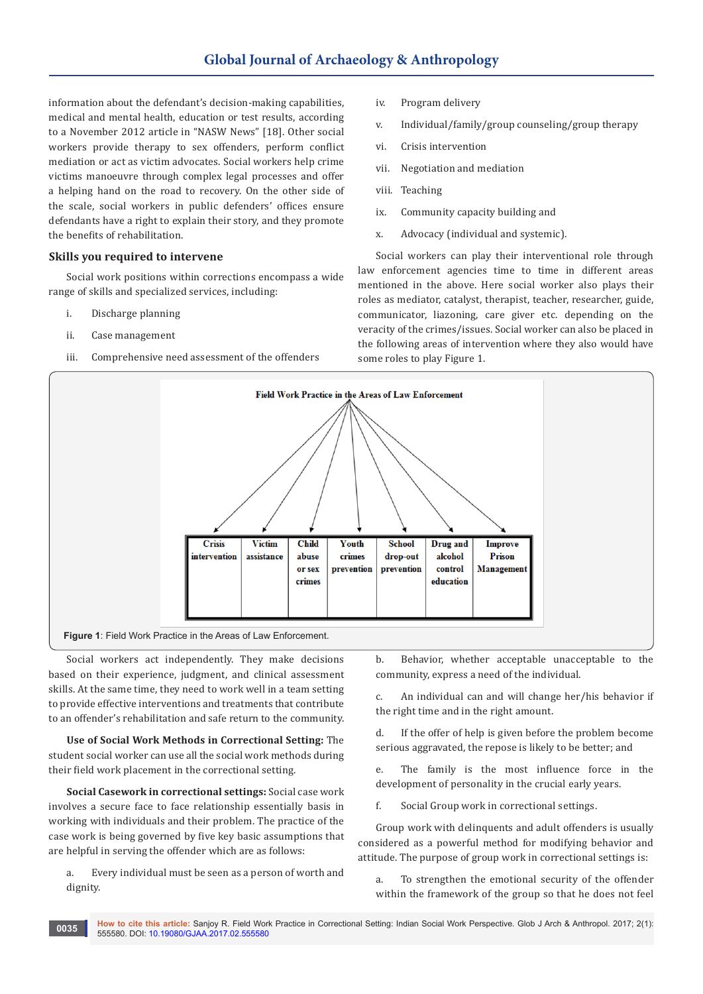information about the defendant's decision-making capabilities, medical and mental health, education or test results, according to a November 2012 article in "NASW News" [18]. Other social workers provide therapy to sex offenders, perform conflict mediation or act as victim advocates. Social workers help crime victims manoeuvre through complex legal processes and offer a helping hand on the road to recovery. On the other side of the scale, social workers in public defenders' offices ensure defendants have a right to explain their story, and they promote the benefits of rehabilitation.

## **Skills you required to intervene**

Social work positions within corrections encompass a wide range of skills and specialized services, including:

- i. Discharge planning
- ii. Case management
- iii. Comprehensive need assessment of the offenders
- iv. Program delivery
- v. Individual/family/group counseling/group therapy
- vi. Crisis intervention
- vii. Negotiation and mediation
- viii. Teaching
- ix. Community capacity building and
- x. Advocacy (individual and systemic).

Social workers can play their interventional role through law enforcement agencies time to time in different areas mentioned in the above. Here social worker also plays their roles as mediator, catalyst, therapist, teacher, researcher, guide, communicator, liazoning, care giver etc. depending on the veracity of the crimes/issues. Social worker can also be placed in the following areas of intervention where they also would have some roles to play Figure 1.



Social workers act independently. They make decisions based on their experience, judgment, and clinical assessment skills. At the same time, they need to work well in a team setting to provide effective interventions and treatments that contribute to an offender's rehabilitation and safe return to the community.

**Use of Social Work Methods in Correctional Setting:** The student social worker can use all the social work methods during their field work placement in the correctional setting.

**Social Casework in correctional settings:** Social case work involves a secure face to face relationship essentially basis in working with individuals and their problem. The practice of the case work is being governed by five key basic assumptions that are helpful in serving the offender which are as follows:

a. Every individual must be seen as a person of worth and dignity.

b. Behavior, whether acceptable unacceptable to the community, express a need of the individual.

c. An individual can and will change her/his behavior if the right time and in the right amount.

d. If the offer of help is given before the problem become serious aggravated, the repose is likely to be better; and

e. The family is the most influence force in the development of personality in the crucial early years.

f. Social Group work in correctional settings.

Group work with delinquents and adult offenders is usually considered as a powerful method for modifying behavior and attitude. The purpose of group work in correctional settings is:

a. To strengthen the emotional security of the offender within the framework of the group so that he does not feel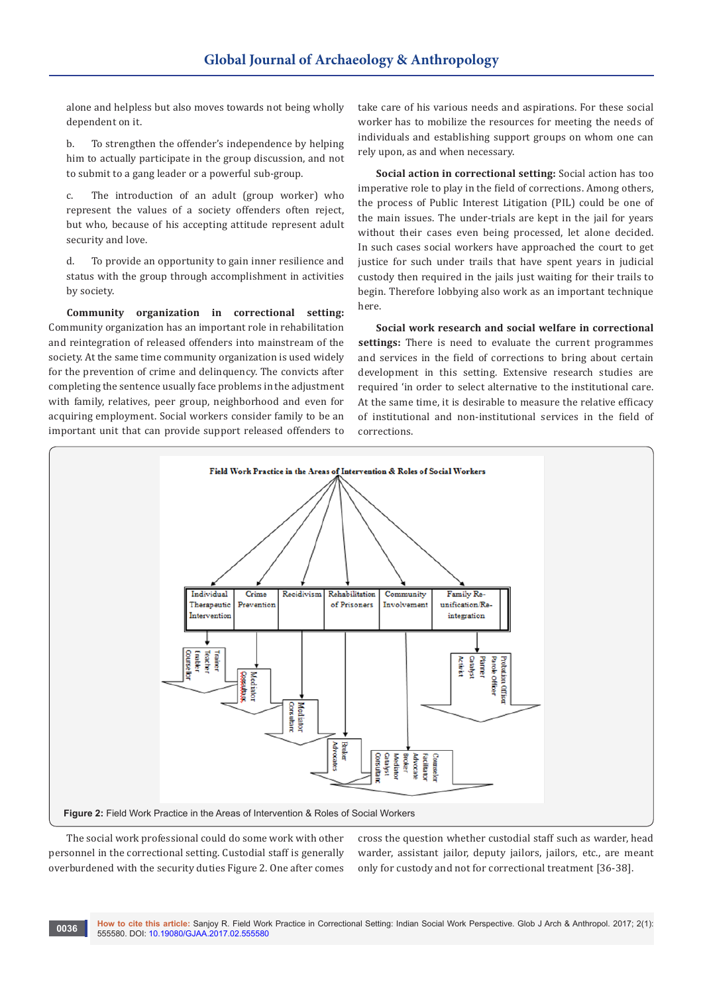alone and helpless but also moves towards not being wholly dependent on it.

b. To strengthen the offender's independence by helping him to actually participate in the group discussion, and not to submit to a gang leader or a powerful sub-group.

c. The introduction of an adult (group worker) who represent the values of a society offenders often reject, but who, because of his accepting attitude represent adult security and love.

d. To provide an opportunity to gain inner resilience and status with the group through accomplishment in activities by society.

**Community organization in correctional setting:**  Community organization has an important role in rehabilitation and reintegration of released offenders into mainstream of the society. At the same time community organization is used widely for the prevention of crime and delinquency. The convicts after completing the sentence usually face problems in the adjustment with family, relatives, peer group, neighborhood and even for acquiring employment. Social workers consider family to be an important unit that can provide support released offenders to

take care of his various needs and aspirations. For these social worker has to mobilize the resources for meeting the needs of individuals and establishing support groups on whom one can rely upon, as and when necessary.

**Social action in correctional setting:** Social action has too imperative role to play in the field of corrections. Among others, the process of Public Interest Litigation (PIL) could be one of the main issues. The under-trials are kept in the jail for years without their cases even being processed, let alone decided. In such cases social workers have approached the court to get justice for such under trails that have spent years in judicial custody then required in the jails just waiting for their trails to begin. Therefore lobbying also work as an important technique here.

**Social work research and social welfare in correctional settings:** There is need to evaluate the current programmes and services in the field of corrections to bring about certain development in this setting. Extensive research studies are required 'in order to select alternative to the institutional care. At the same time, it is desirable to measure the relative efficacy of institutional and non-institutional services in the field of corrections.



The social work professional could do some work with other personnel in the correctional setting. Custodial staff is generally overburdened with the security duties Figure 2. One after comes

cross the question whether custodial staff such as warder, head warder, assistant jailor, deputy jailors, jailors, etc., are meant only for custody and not for correctional treatment [36-38].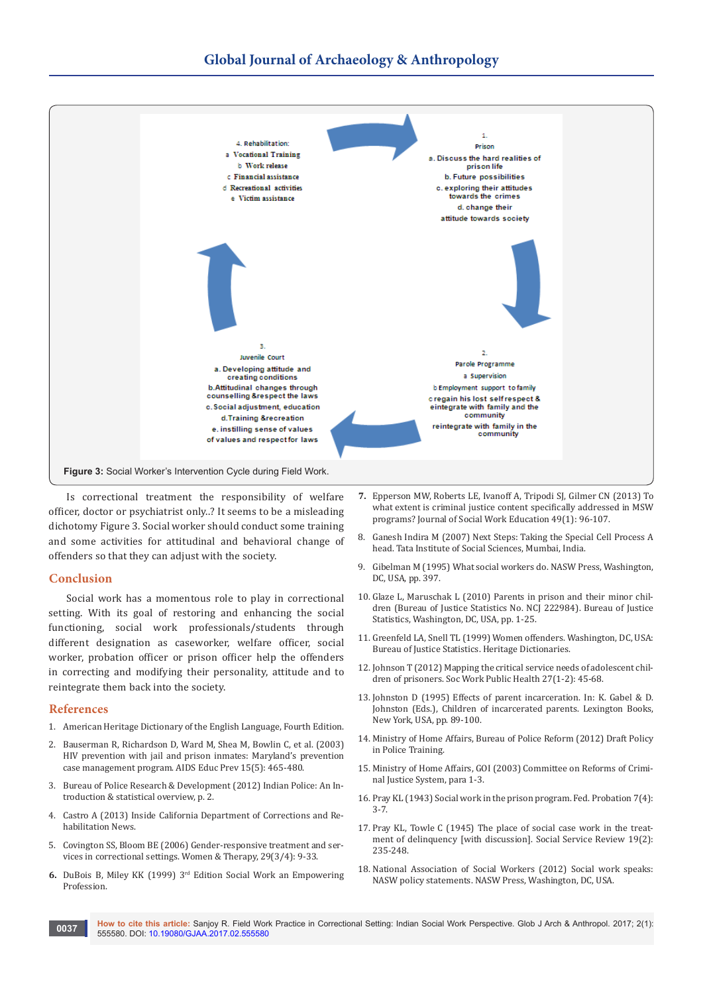

Is correctional treatment the responsibility of welfare officer, doctor or psychiatrist only..? It seems to be a misleading dichotomy Figure 3. Social worker should conduct some training and some activities for attitudinal and behavioral change of offenders so that they can adjust with the society.

#### **Conclusion**

Social work has a momentous role to play in correctional setting. With its goal of restoring and enhancing the social functioning, social work professionals/students through different designation as caseworker, welfare officer, social worker, probation officer or prison officer help the offenders in correcting and modifying their personality, attitude and to reintegrate them back into the society.

#### **References**

- 1. American Heritage Dictionary of the English Language, Fourth Edition.
- 2. [Bauserman R, Richardson D, Ward M, Shea M, Bowlin C, et al. \(2003\)](https://www.ncbi.nlm.nih.gov/pubmed/14626467)  [HIV prevention with jail and prison inmates: Maryland's prevention](https://www.ncbi.nlm.nih.gov/pubmed/14626467)  [case management program. AIDS Educ Prev 15\(5\): 465-480.](https://www.ncbi.nlm.nih.gov/pubmed/14626467)
- 3. Bureau of Police Research & Development (2012) Indian Police: An Introduction & statistical overview, p. 2.
- 4. Castro A (2013) Inside California Department of Corrections and Rehabilitation News.
- 5. [Covington SS, Bloom BE \(2006\) Gender-responsive treatment and ser](http://stephaniecovington.com/assets/files/FINALC.pdf)[vices in correctional settings. Women & Therapy, 29\(3/4\): 9-33.](http://stephaniecovington.com/assets/files/FINALC.pdf)
- **6.** DuBois B, Miley KK (1999) 3[rd Edition Social Work an Empowering](https://www.pearson.com/us/higher-education/program/Du-Bois-Social-Work-An-Empowering-Profession-3rd-Edition/PGM211021.html)  [Profession.](https://www.pearson.com/us/higher-education/program/Du-Bois-Social-Work-An-Empowering-Profession-3rd-Edition/PGM211021.html)
- **7.** [Epperson MW, Roberts LE, Ivanoff A, Tripodi SJ, Gilmer CN \(2013\) To](http://www.tandfonline.com/doi/abs/10.1080/10437797.2013.755384)  [what extent is criminal justice content specifically addressed in MSW](http://www.tandfonline.com/doi/abs/10.1080/10437797.2013.755384)  [programs? Journal of Social Work Education 49\(1\): 96-107.](http://www.tandfonline.com/doi/abs/10.1080/10437797.2013.755384)
- 8. Ganesh Indira M (2007) Next Steps: Taking the Special Cell Process A head. Tata Institute of Social Sciences, Mumbai, India.
- 9. [Gibelman M \(1995\) What social workers do. NASW Press, Washington,](https://academic.oup.com/sw/article-abstract/42/2/211/1919230/What-Social-Workers-Do-Margaret-Gibelman?redirectedFrom=fulltext)  [DC, USA, pp. 397.](https://academic.oup.com/sw/article-abstract/42/2/211/1919230/What-Social-Workers-Do-Margaret-Gibelman?redirectedFrom=fulltext)
- 10. [Glaze L, Maruschak L \(2010\) Parents in prison and their minor chil](https://www.bjs.gov/content/pub/pdf/pptmc.pdf)[dren \(Bureau of Justice Statistics No. NCJ 222984\). Bureau of Justice](https://www.bjs.gov/content/pub/pdf/pptmc.pdf)  [Statistics, Washington, DC, USA, pp. 1-25.](https://www.bjs.gov/content/pub/pdf/pptmc.pdf)
- 11. [Greenfeld LA, Snell TL \(1999\) Women offenders. Washington, DC, USA:](https://www.bjs.gov/index.cfm?ty=pbdetail&iid=568)  [Bureau of Justice Statistics. Heritage Dictionaries.](https://www.bjs.gov/index.cfm?ty=pbdetail&iid=568)
- 12. [Johnson T \(2012\) Mapping the critical service needs of adolescent chil](https://www.ncbi.nlm.nih.gov/pubmed/22239378)[dren of prisoners. Soc Work Public Health 27\(1-2\): 45-68.](https://www.ncbi.nlm.nih.gov/pubmed/22239378)
- 13. Johnston D (1995) Effects of parent incarceration. In: K. Gabel & D. Johnston (Eds.), Children of incarcerated parents. Lexington Books, New York, USA, pp. 89-100.
- 14. Ministry of Home Affairs, Bureau of Police Reform (2012) Draft Policy in Police Training.
- 15. Ministry of Home Affairs, GOI (2003) Committee on Reforms of Criminal Justice System, para 1-3.
- 16. Pray KL (1943) Social work in the prison program. Fed. Probation 7(4): 3-7.
- 17. [Pray KL, Towle C \(1945\) The place of social case work in the treat](http://www.journals.uchicago.edu/doi/abs/10.1086/635276?journalCode=ssr)[ment of delinquency \[with discussion\]. Social Service Review 19\(2\):](http://www.journals.uchicago.edu/doi/abs/10.1086/635276?journalCode=ssr)  [235-248.](http://www.journals.uchicago.edu/doi/abs/10.1086/635276?journalCode=ssr)
- 18. [National Association of Social Workers \(2012\) Social work speaks:](http://www.naswpress.org/publications/practice/speaks.html)  [NASW policy statements. NASW Press, Washington, DC, USA.](http://www.naswpress.org/publications/practice/speaks.html)

**How to cite this article:** Sanjoy R. Field Work Practice in Correctional Setting: Indian Social Work Perspective. Glob J Arch & Anthropol. 2017; 2(1): **6037 how to cite this article:** Sanjoy R. Field World 555580. DOI: [10.19080/GJAA.2017.02.555580](http://dx.doi.org/10.19080/GJAA.2017.02.555580
)